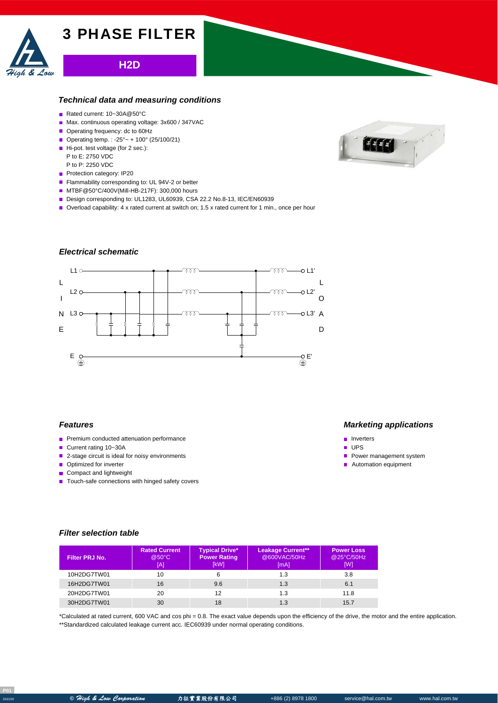

# **H2D**

### *Technical data and measuring conditions*

- Rated current: 10~30A@50°C
- Max. continuous operating voltage: 3x600 / 347VAC
- Operating frequency: dc to 60Hz
- Operating temp. : -25° ~ + 100° (25/100/21)
- Hi-pot. test voltage (for 2 sec.): P to E: 2750 VDC
- P to P: 2250 VDC

High & Low

- Protection category: IP20
- Flammability corresponding to: UL 94V-2 or better
- MTBF@50°C/400V(Mill-HB-217F): 300,000 hours
- Design corresponding to: UL1283, UL60939, CSA 22.2 No.8-13, IEC/EN60939
- Overload capability: 4 x rated current at switch on; 1.5 x rated current for 1 min., once per hour

# *Electrical schematic*





#### *Features*

- **Premium conducted attenuation performance**
- Current rating 10~30A
- 2-stage circuit is ideal for noisy environments
- Optimized for inverter
- Compact and lightweight
- $\blacksquare$  Touch-safe connections with hinged safety covers

### *Marketing applications*

- **n** Inverters
- **u** UPS
- **Power management system**
- Automation equipment

### *Filter selection table*

| Filter PRJ No. | <b>Rated Current</b><br>@50°C<br>[A] | <b>Typical Drive*</b><br><b>Power Rating</b><br>[kW] | <b>Leakage Current**</b><br>@600VAC/50Hz<br>[mA] | <b>Power Loss</b><br>@25°C/50Hz<br>[W] |
|----------------|--------------------------------------|------------------------------------------------------|--------------------------------------------------|----------------------------------------|
| 10H2DG7TW01    | 10                                   | 6                                                    | 1.3                                              | 3.8                                    |
| 16H2DG7TW01    | 16                                   | 9.6                                                  | 1.3                                              | 6.1                                    |
| 20H2DG7TW01    | 20                                   | 12                                                   | 1.3                                              | 11.8                                   |
| 30H2DG7TW01    | 30                                   | 18                                                   | 1.3                                              | 15.7                                   |

\*Calculated at rated current, 600 VAC and cos phi = 0.8. The exact value depends upon the efficiency of the drive, the motor and the entire application. \*\*Standardized calculated leakage current acc. IEC60939 under normal operating conditions.